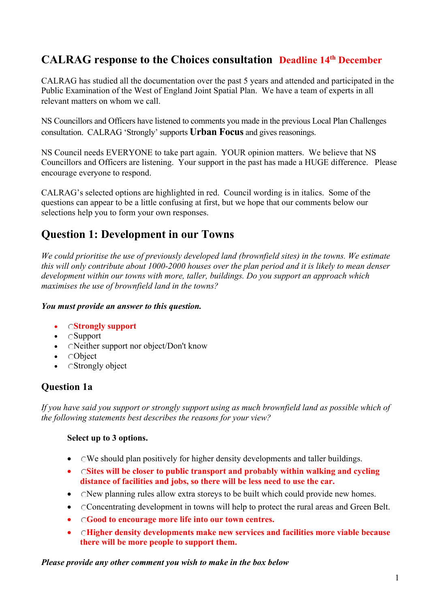# **CALRAG response to the Choices consultation Deadline 14th December**

CALRAG has studied all the documentation over the past 5 years and attended and participated in the Public Examination of the West of England Joint Spatial Plan. We have a team of experts in all relevant matters on whom we call.

NS Councillors and Officers have listened to comments you made in the previous Local Plan Challenges consultation. CALRAG 'Strongly' supports **Urban Focus** and gives reasonings.

NS Council needs EVERYONE to take part again. YOUR opinion matters. We believe that NS Councillors and Officers are listening. Your support in the past has made a HUGE difference. Please encourage everyone to respond.

CALRAG's selected options are highlighted in red. Council wording is in italics. Some of the questions can appear to be a little confusing at first, but we hope that our comments below our selections help you to form your own responses.

# **Question 1: Development in our Towns**

*We could prioritise the use of previously developed land (brownfield sites) in the towns. We estimate this will only contribute about 1000-2000 houses over the plan period and it is likely to mean denser development within our towns with more, taller, buildings. Do you support an approach which maximises the use of brownfield land in the towns?* 

#### *You must provide an answer to this question.*

- **Strongly support**
- Support
- CNeither support nor object/Don't know
- **CObject**
- CStrongly object

### **Question 1a**

*If you have said you support or strongly support using as much brownfield land as possible which of the following statements best describes the reasons for your view?* 

#### **Select up to 3 options.**

- CWe should plan positively for higher density developments and taller buildings.
- **Sites will be closer to public transport and probably within walking and cycling distance of facilities and jobs, so there will be less need to use the car.**
- CNew planning rules allow extra storeys to be built which could provide new homes.
- Concentrating development in towns will help to protect the rural areas and Green Belt.
- **Good to encourage more life into our town centres.**
- **Higher density developments make new services and facilities more viable because there will be more people to support them.**

*Please provide any other comment you wish to make in the box below*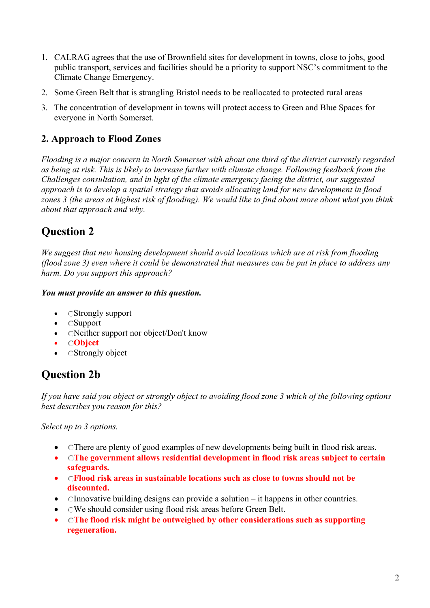- 1. CALRAG agrees that the use of Brownfield sites for development in towns, close to jobs, good public transport, services and facilities should be a priority to support NSC's commitment to the Climate Change Emergency.
- 2. Some Green Belt that is strangling Bristol needs to be reallocated to protected rural areas
- 3. The concentration of development in towns will protect access to Green and Blue Spaces for everyone in North Somerset.

### **2. Approach to Flood Zones**

*Flooding is a major concern in North Somerset with about one third of the district currently regarded as being at risk. This is likely to increase further with climate change. Following feedback from the Challenges consultation, and in light of the climate emergency facing the district, our suggested approach is to develop a spatial strategy that avoids allocating land for new development in flood zones 3 (the areas at highest risk of flooding). We would like to find about more about what you think about that approach and why.* 

# **Question 2**

*We suggest that new housing development should avoid locations which are at risk from flooding (flood zone 3) even where it could be demonstrated that measures can be put in place to address any harm. Do you support this approach?* 

#### *You must provide an answer to this question.*

- CStrongly support
- Support
- CNeither support nor object/Don't know
- **Object**
- CStrongly object

# **Question 2b**

*If you have said you object or strongly object to avoiding flood zone 3 which of the following options best describes you reason for this?* 

*Select up to 3 options.* 

- Chere are plenty of good examples of new developments being built in flood risk areas.
- **The government allows residential development in flood risk areas subject to certain safeguards.**
- **Flood risk areas in sustainable locations such as close to towns should not be discounted.**
- Chandellary of the building designs can provide a solution  $-$  it happens in other countries.
- OWe should consider using flood risk areas before Green Belt.
- **The flood risk might be outweighed by other considerations such as supporting regeneration.**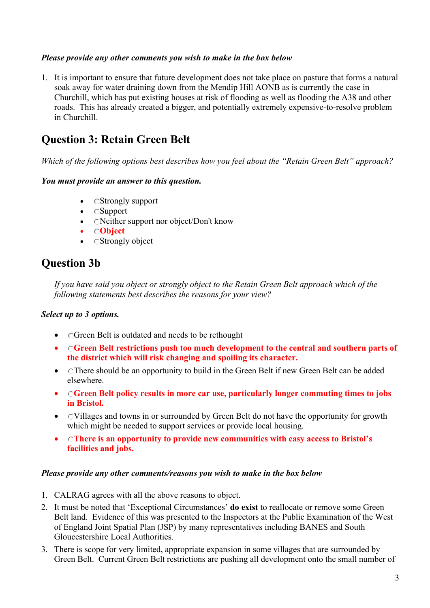#### *Please provide any other comments you wish to make in the box below*

1. It is important to ensure that future development does not take place on pasture that forms a natural soak away for water draining down from the Mendip Hill AONB as is currently the case in Churchill, which has put existing houses at risk of flooding as well as flooding the A38 and other roads. This has already created a bigger, and potentially extremely expensive-to-resolve problem in Churchill.

# **Question 3: Retain Green Belt**

*Which of the following options best describes how you feel about the "Retain Green Belt" approach?* 

#### *You must provide an answer to this question.*

- CStrongly support
- Support
- CNeither support nor object/Don't know
- **Object**
- CStrongly object

# **Question 3b**

*If you have said you object or strongly object to the Retain Green Belt approach which of the following statements best describes the reasons for your view?* 

#### *Select up to 3 options.*

- CGreen Belt is outdated and needs to be rethought
- **Green Belt restrictions push too much development to the central and southern parts of the district which will risk changing and spoiling its character.**
- CThere should be an opportunity to build in the Green Belt if new Green Belt can be added elsewhere.
- **Green Belt policy results in more car use, particularly longer commuting times to jobs in Bristol.**
- CVillages and towns in or surrounded by Green Belt do not have the opportunity for growth which might be needed to support services or provide local housing.
- **There is an opportunity to provide new communities with easy access to Bristol's facilities and jobs.**

#### *Please provide any other comments/reasons you wish to make in the box below*

- 1. CALRAG agrees with all the above reasons to object.
- 2. It must be noted that 'Exceptional Circumstances' **do exist** to reallocate or remove some Green Belt land. Evidence of this was presented to the Inspectors at the Public Examination of the West of England Joint Spatial Plan (JSP) by many representatives including BANES and South Gloucestershire Local Authorities.
- 3. There is scope for very limited, appropriate expansion in some villages that are surrounded by Green Belt. Current Green Belt restrictions are pushing all development onto the small number of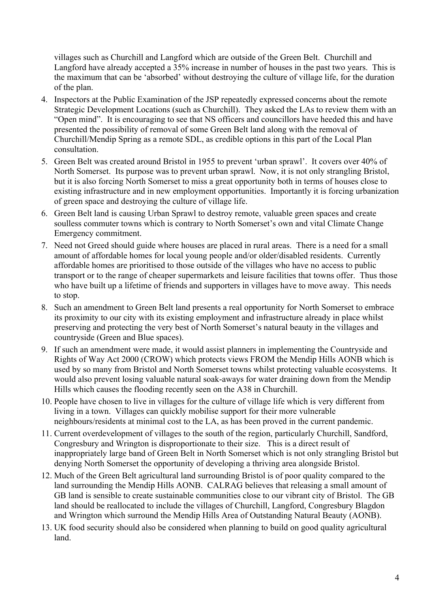villages such as Churchill and Langford which are outside of the Green Belt. Churchill and Langford have already accepted a 35% increase in number of houses in the past two years. This is the maximum that can be 'absorbed' without destroying the culture of village life, for the duration of the plan.

- 4. Inspectors at the Public Examination of the JSP repeatedly expressed concerns about the remote Strategic Development Locations (such as Churchill). They asked the LAs to review them with an "Open mind". It is encouraging to see that NS officers and councillors have heeded this and have presented the possibility of removal of some Green Belt land along with the removal of Churchill/Mendip Spring as a remote SDL, as credible options in this part of the Local Plan consultation.
- 5. Green Belt was created around Bristol in 1955 to prevent 'urban sprawl'. It covers over 40% of North Somerset. Its purpose was to prevent urban sprawl. Now, it is not only strangling Bristol, but it is also forcing North Somerset to miss a great opportunity both in terms of houses close to existing infrastructure and in new employment opportunities. Importantly it is forcing urbanization of green space and destroying the culture of village life.
- 6. Green Belt land is causing Urban Sprawl to destroy remote, valuable green spaces and create soulless commuter towns which is contrary to North Somerset's own and vital Climate Change Emergency commitment.
- 7. Need not Greed should guide where houses are placed in rural areas. There is a need for a small amount of affordable homes for local young people and/or older/disabled residents. Currently affordable homes are prioritised to those outside of the villages who have no access to public transport or to the range of cheaper supermarkets and leisure facilities that towns offer. Thus those who have built up a lifetime of friends and supporters in villages have to move away. This needs to stop.
- 8. Such an amendment to Green Belt land presents a real opportunity for North Somerset to embrace its proximity to our city with its existing employment and infrastructure already in place whilst preserving and protecting the very best of North Somerset's natural beauty in the villages and countryside (Green and Blue spaces).
- 9. If such an amendment were made, it would assist planners in implementing the Countryside and Rights of Way Act 2000 (CROW) which protects views FROM the Mendip Hills AONB which is used by so many from Bristol and North Somerset towns whilst protecting valuable ecosystems. It would also prevent losing valuable natural soak-aways for water draining down from the Mendip Hills which causes the flooding recently seen on the A38 in Churchill.
- 10. People have chosen to live in villages for the culture of village life which is very different from living in a town. Villages can quickly mobilise support for their more vulnerable neighbours/residents at minimal cost to the LA, as has been proved in the current pandemic.
- 11. Current overdevelopment of villages to the south of the region, particularly Churchill, Sandford, Congresbury and Wrington is disproportionate to their size. This is a direct result of inappropriately large band of Green Belt in North Somerset which is not only strangling Bristol but denying North Somerset the opportunity of developing a thriving area alongside Bristol.
- 12. Much of the Green Belt agricultural land surrounding Bristol is of poor quality compared to the land surrounding the Mendip Hills AONB. CALRAG believes that releasing a small amount of GB land is sensible to create sustainable communities close to our vibrant city of Bristol. The GB land should be reallocated to include the villages of Churchill, Langford, Congresbury Blagdon and Wrington which surround the Mendip Hills Area of Outstanding Natural Beauty (AONB).
- 13. UK food security should also be considered when planning to build on good quality agricultural land.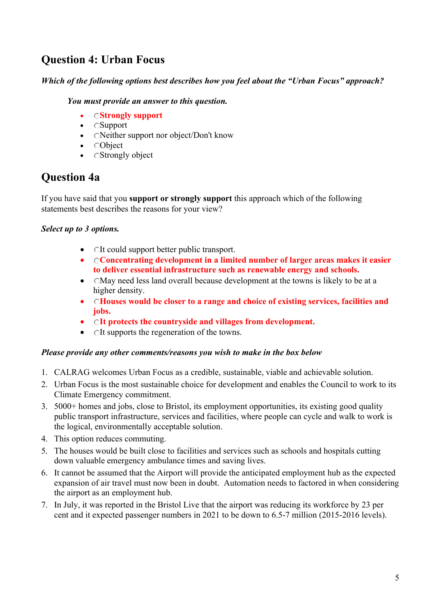# **Question 4: Urban Focus**

#### *Which of the following options best describes how you feel about the "Urban Focus" approach?*

#### *You must provide an answer to this question.*

- **Strongly support**
- Support
- CNeither support nor object/Don't know
- Object
- CStrongly object

# **Question 4a**

If you have said that you **support or strongly support** this approach which of the following statements best describes the reasons for your view?

#### *Select up to 3 options.*

- OIt could support better public transport.
- **Concentrating development in a limited number of larger areas makes it easier to deliver essential infrastructure such as renewable energy and schools.**
- CMay need less land overall because development at the towns is likely to be at a higher density.
- **Houses would be closer to a range and choice of existing services, facilities and jobs.**
- **It protects the countryside and villages from development.**
- CIt supports the regeneration of the towns.

#### *Please provide any other comments/reasons you wish to make in the box below*

- 1. CALRAG welcomes Urban Focus as a credible, sustainable, viable and achievable solution.
- 2. Urban Focus is the most sustainable choice for development and enables the Council to work to its Climate Emergency commitment.
- 3. 5000+ homes and jobs, close to Bristol, its employment opportunities, its existing good quality public transport infrastructure, services and facilities, where people can cycle and walk to work is the logical, environmentally acceptable solution.
- 4. This option reduces commuting.
- 5. The houses would be built close to facilities and services such as schools and hospitals cutting down valuable emergency ambulance times and saving lives.
- 6. It cannot be assumed that the Airport will provide the anticipated employment hub as the expected expansion of air travel must now been in doubt. Automation needs to factored in when considering the airport as an employment hub.
- 7. In July, it was reported in the Bristol Live that the airport was reducing its workforce by 23 per cent and it expected passenger numbers in 2021 to be down to 6.5-7 million (2015-2016 levels).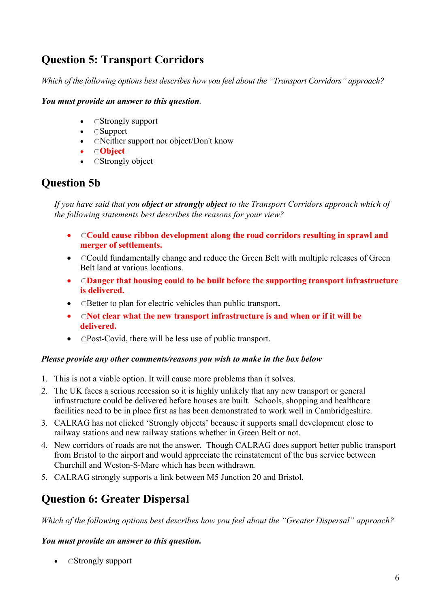# **Question 5: Transport Corridors**

*Which of the following options best describes how you feel about the "Transport Corridors" approach?* 

#### *You must provide an answer to this question.*

- CStrongly support
- Support
- CNeither support nor object/Don't know
- **Object**
- CStrongly object

### **Question 5b**

*If you have said that you object or strongly object to the Transport Corridors approach which of the following statements best describes the reasons for your view?* 

- **Could cause ribbon development along the road corridors resulting in sprawl and merger of settlements.**
- Could fundamentally change and reduce the Green Belt with multiple releases of Green Belt land at various locations.
- **Danger that housing could to be built before the supporting transport infrastructure is delivered.**
- Better to plan for electric vehicles than public transport**.**
- **Not clear what the new transport infrastructure is and when or if it will be delivered.**
- CPost-Covid, there will be less use of public transport.

#### *Please provide any other comments/reasons you wish to make in the box below*

- 1. This is not a viable option. It will cause more problems than it solves.
- 2. The UK faces a serious recession so it is highly unlikely that any new transport or general infrastructure could be delivered before houses are built. Schools, shopping and healthcare facilities need to be in place first as has been demonstrated to work well in Cambridgeshire.
- 3. CALRAG has not clicked 'Strongly objects' because it supports small development close to railway stations and new railway stations whether in Green Belt or not.
- 4. New corridors of roads are not the answer. Though CALRAG does support better public transport from Bristol to the airport and would appreciate the reinstatement of the bus service between Churchill and Weston-S-Mare which has been withdrawn.
- 5. CALRAG strongly supports a link between M5 Junction 20 and Bristol.

### **Question 6: Greater Dispersal**

*Which of the following options best describes how you feel about the "Greater Dispersal" approach?* 

#### *You must provide an answer to this question.*

• CStrongly support